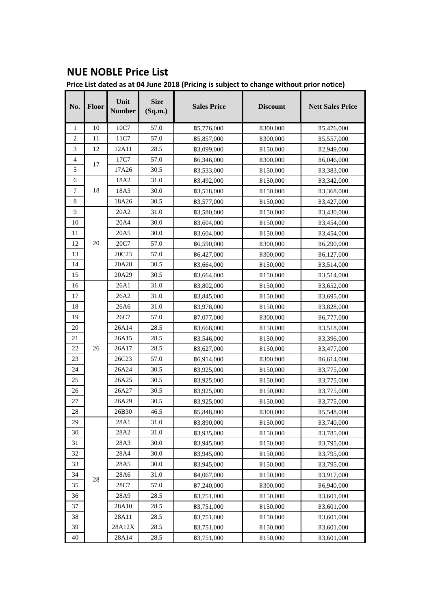## **NUE NOBLE Price List**

**Price List dated as at 04 June 2018 (Pricing is subject to change without prior notice)**

| No.            | Floor | Unit<br><b>Number</b> | <b>Size</b><br>(Sq.m.) | <b>Sales Price</b> | <b>Discount</b>  | <b>Nett Sales Price</b> |
|----------------|-------|-----------------------|------------------------|--------------------|------------------|-------------------------|
| 1              | 10    | 10C7                  | 57.0                   | \$5,776,000        | <b>\$300,000</b> | <b>\$5,476,000</b>      |
| $\overline{2}$ | 11    | 11C7                  | 57.0                   | <b>\$5,857,000</b> | ₿300,000         | <b>\$5,557,000</b>      |
| 3              | 12    | 12A11                 | 28.5                   | ₿3,099,000         | ₿150,000         | ₿2,949,000              |
| 4              | 17    | 17C7                  | 57.0                   | \$6,346,000        | <b>\$300,000</b> | \$6,046,000             |
| 5              |       | 17A26                 | 30.5                   | <b>\$3,533,000</b> | \$150,000        | <b>\$3,383,000</b>      |
| 6              |       | 18A2                  | 31.0                   | <b>B3,492,000</b>  | \$150,000        | <b>B3,342,000</b>       |
| 7              | 18    | 18A3                  | 30.0                   | <b>\$3,518,000</b> | \$150,000        | <b>\$3,368,000</b>      |
| 8              |       | 18A26                 | 30.5                   | <b>\$3,577,000</b> | \$150,000        | <b>B</b> 3,427,000      |
| 9              |       | 20A2                  | 31.0                   | <b>\$3,580,000</b> | ₿150,000         | <b>\$3,430,000</b>      |
| 10             |       | 20A4                  | 30.0                   | \$3,604,000        | \$150,000        | <b>B3,454,000</b>       |
| 11             |       | 20A5                  | 30.0                   | \$3,604,000        | \$150,000        | <b>B3,454,000</b>       |
| 12             | 20    | 20C7                  | 57.0                   | <b>B6,590,000</b>  | <b>\$300,000</b> | <b>B6,290,000</b>       |
| 13             |       | 20C23                 | 57.0                   | \$6,427,000        | <b>\$300,000</b> | \$6,127,000             |
| 14             |       | 20A28                 | 30.5                   | <b>\$3,664,000</b> | \$150,000        | <b>\$3,514,000</b>      |
| 15             |       | 20A29                 | 30.5                   | <b>B3,664,000</b>  | \$150,000        | <b>\$3,514,000</b>      |
| 16             |       | 26A1                  | 31.0                   | <b>\$3,802,000</b> | ₿150,000         | <b>\$3,652,000</b>      |
| 17             |       | 26A2                  | 31.0                   | <b>B3,845,000</b>  | <b>\$150,000</b> | <b>\$3,695,000</b>      |
| 18             |       | 26A6                  | 31.0                   | <b>\$3,978,000</b> | \$150,000        | <b>\$3,828,000</b>      |
| 19             |       | 26C7                  | 57.0                   | \$7,077,000        | ₿300,000         | \$6,777,000             |
| 20             |       | 26A14                 | 28.5                   | <b>\$3,668,000</b> | \$150,000        | <b>B3,518,000</b>       |
| 21             |       | 26A15                 | 28.5                   | <b>\$3,546,000</b> | ₿150,000         | ₿3,396,000              |
| 22             | 26    | 26A17                 | 28.5                   | \$3,627,000        | ₿150,000         | ₿3,477,000              |
| 23             |       | 26C23                 | 57.0                   | \$6,914,000        | <b>\$300,000</b> | \$6,614,000             |
| 24             |       | 26A24                 | 30.5                   | <b>B3,925,000</b>  | \$150,000        | <b>\$3,775,000</b>      |
| 25             |       | 26A25                 | 30.5                   | <b>\$3,925,000</b> | \$150,000        | <b>\$3,775,000</b>      |
| 26             |       | 26A27                 | 30.5                   | <b>\$3,925,000</b> | \$150,000        | <b>\$3,775,000</b>      |
| 27             |       | 26A29                 | 30.5                   | ₿3,925,000         | \$150,000        | <b>\$3,775,000</b>      |
| 28             |       | 26B30                 | 46.5                   | <b>\$5,848,000</b> | ₿300,000         | <b>\$5,548,000</b>      |
| 29             |       | 28A1                  | 31.0                   | ₿3,890,000         | ₿150,000         | ₿3,740,000              |
| 30             |       | 28A2                  | 31.0                   | ₿3,935,000         | <b>\$150,000</b> | <b>\$3,785,000</b>      |
| 31             |       | 28A3                  | 30.0                   | <b>\$3,945,000</b> | ₿150,000         | <b>B3,795,000</b>       |
| 32             |       | 28A4                  | 30.0                   | <b>\$3,945,000</b> | <b>\$150,000</b> | <b>B3,795,000</b>       |
| 33             |       | 28A5                  | 30.0                   | ₿3,945,000         | <b>\$150,000</b> | <b>B3,795,000</b>       |
| 34             | 28    | 28A6                  | 31.0                   | ₿4,067,000         | ₿150,000         | ₿3,917,000              |
| 35             |       | 28C7                  | 57.0                   | ₿7,240,000         | <b>\$300,000</b> | ₿6,940,000              |
| 36             |       | 28A9                  | 28.5                   | <b>\$3,751,000</b> | \$150,000        | <b>\$3,601,000</b>      |
| 37             |       | 28A10                 | 28.5                   | <b>\$3,751,000</b> | ₿150,000         | ₿3,601,000              |
| 38             |       | 28A11                 | 28.5                   | <b>\$3,751,000</b> | ₿150,000         | ₿3,601,000              |
| 39             |       | 28A12X                | 28.5                   | <b>\$3,751,000</b> | \$150,000        | \$3,601,000             |
| 40             |       | 28A14                 | 28.5                   | <b>\$3,751,000</b> | <b>\$150,000</b> | ₿3,601,000              |